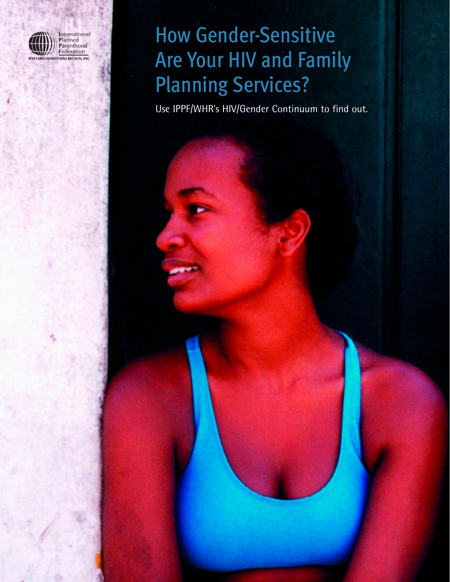

# How Gender-Sensitive Are Your HIV and Family Planning Services?

Use IPPF/WHR's HIV/Gender Continuum to find out.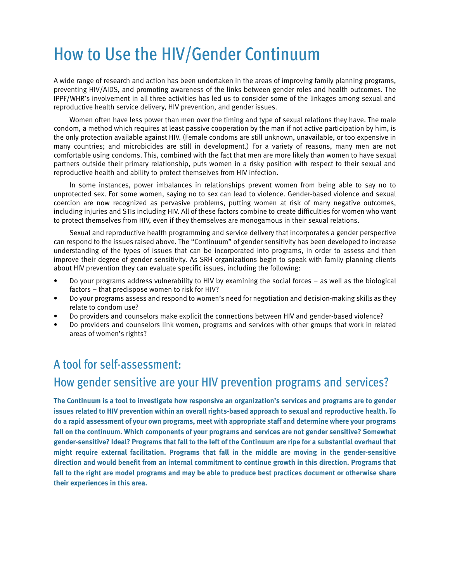## How to Use the HIV/Gender Continuum

A wide range of research and action has been undertaken in the areas of improving family planning programs, preventing HIV/AIDS, and promoting awareness of the links between gender roles and health outcomes. The IPPF/WHR's involvement in all three activities has led us to consider some of the linkages among sexual and reproductive health service delivery, HIV prevention, and gender issues.

Women often have less power than men over the timing and type of sexual relations they have. The male condom, a method which requires at least passive cooperation by the man if not active participation by him, is the only protection available against HIV. (Female condoms are still unknown, unavailable, or too expensive in many countries; and microbicides are still in development.) For a variety of reasons, many men are not comfortable using condoms. This, combined with the fact that men are more likely than women to have sexual partners outside their primary relationship, puts women in a risky position with respect to their sexual and reproductive health and ability to protect themselves from HIV infection.

In some instances, power imbalances in relationships prevent women from being able to say no to unprotected sex. For some women, saying no to sex can lead to violence. Gender-based violence and sexual coercion are now recognized as pervasive problems, putting women at risk of many negative outcomes, including injuries and STIs including HIV. All of these factors combine to create difficulties for women who want to protect themselves from HIV, even if they themselves are monogamous in their sexual relations.

Sexual and reproductive health programming and service delivery that incorporates a gender perspective can respond to the issues raised above. The "Continuum" of gender sensitivity has been developed to increase understanding of the types of issues that can be incorporated into programs, in order to assess and then improve their degree of gender sensitivity. As SRH organizations begin to speak with family planning clients about HIV prevention they can evaluate specific issues, including the following:

- Do your programs address vulnerability to HIV by examining the social forces as well as the biological factors – that predispose women to risk for HIV?
- Do your programs assess and respond to women's need for negotiation and decision-making skills as they relate to condom use?
- Do providers and counselors make explicit the connections between HIV and gender-based violence?
- Do providers and counselors link women, programs and services with other groups that work in related areas of women's rights?

#### A tool for self-assessment:

### How gender sensitive are your HIV prevention programs and services?

**The Continuum is a tool to investigate how responsive an organization's services and programs are to gender issues related to HIV prevention within an overall rights-based approach to sexual and reproductive health. To do a rapid assessment of your own programs, meet with appropriate staff and determine where your programs fall on the continuum. Which components of your programs and services are not gender sensitive? Somewhat gender-sensitive? Ideal? Programs that fall to the left of the Continuum are ripe for a substantial overhaul that might require external facilitation. Programs that fall in the middle are moving in the gender-sensitive direction and would benefit from an internal commitment to continue growth in this direction. Programs that fall to the right are model programs and may be able to produce best practices document or otherwise share their experiences in this area.**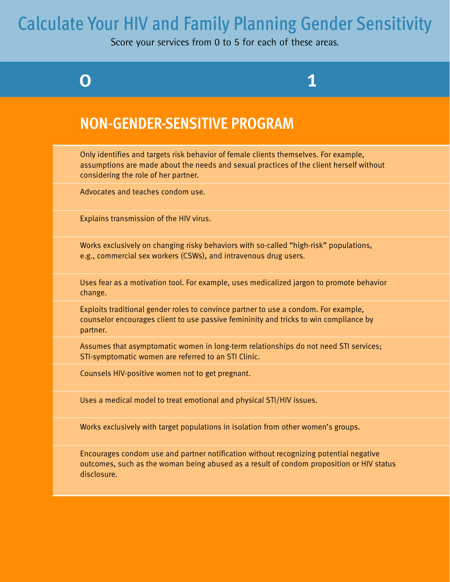## Calculate Your HIV and Family Planning Gender Sensitivity

Score your services from 0 to 5 for each of these areas.

0 1

### **NON-GENDER-SENSITIVE PROGRAM**

Only identifies and targets risk behavior of female clients themselves. For example, assumptions are made about the needs and sexual practices of the client herself without considering the role of her partner.

Advocates and teaches condom use.

Explains transmission of the HIV virus.

Works exclusively on changing risky behaviors with so-called "high-risk" populations, e.g., commercial sex workers (CSWs), and intravenous drug users.

Uses fear as a motivation tool. For example, uses medicalized jargon to promote behavior change.

Exploits traditional gender roles to convince partner to use a condom. For example, counselor encourages client to use passive femininity and tricks to win compliance by partner.

Assumes that asymptomatic women in long-term relationships do not need STI services; STI-symptomatic women are referred to an STI Clinic.

Counsels HIV-positive women not to get pregnant.

Uses a medical model to treat emotional and physical STI/HIV issues.

Works exclusively with target populations in isolation from other women's groups.

Encourages condom use and partner notification without recognizing potential negative outcomes, such as the woman being abused as a result of condom proposition or HIV status disclosure.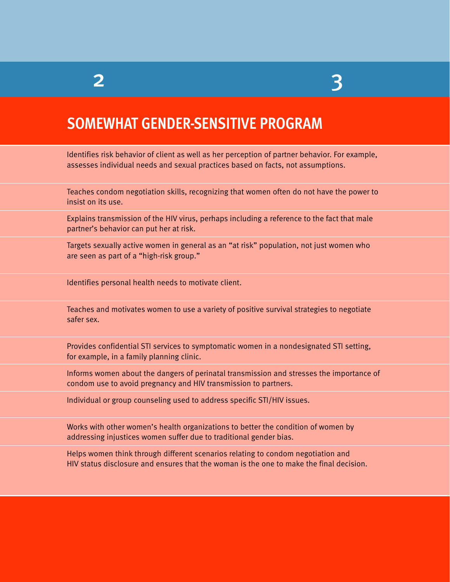## 2 3

## **SOMEWHAT GENDER-SENSITIVE PROGRAM**

Identifies risk behavior of client as well as her perception of partner behavior. For example, assesses individual needs and sexual practices based on facts, not assumptions.

Teaches condom negotiation skills, recognizing that women often do not have the power to insist on its use.

Explains transmission of the HIV virus, perhaps including a reference to the fact that male partner's behavior can put her at risk.

Targets sexually active women in general as an "at risk" population, not just women who are seen as part of a "high-risk group."

Identifies personal health needs to motivate client.

Teaches and motivates women to use a variety of positive survival strategies to negotiate safer sex.

Provides confidential STI services to symptomatic women in a nondesignated STI setting, for example, in a family planning clinic.

Informs women about the dangers of perinatal transmission and stresses the importance of condom use to avoid pregnancy and HIV transmission to partners.

Individual or group counseling used to address specific STI/HIV issues.

Works with other women's health organizations to better the condition of women by addressing injustices women suffer due to traditional gender bias.

Helps women think through different scenarios relating to condom negotiation and HIV status disclosure and ensures that the woman is the one to make the final decision.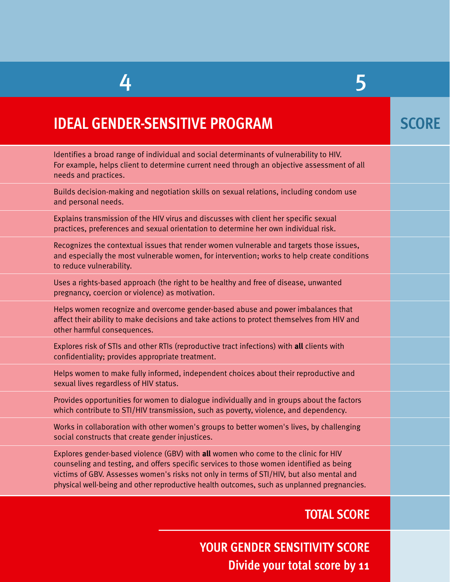## 4 5

| <b>IDEAL GENDER-SENSITIVE PROGRAM</b>                                                                                                                                                                                                                                                                                                                                   | <b>SCORE</b> |
|-------------------------------------------------------------------------------------------------------------------------------------------------------------------------------------------------------------------------------------------------------------------------------------------------------------------------------------------------------------------------|--------------|
| Identifies a broad range of individual and social determinants of vulnerability to HIV.<br>For example, helps client to determine current need through an objective assessment of all<br>needs and practices.                                                                                                                                                           |              |
| Builds decision-making and negotiation skills on sexual relations, including condom use<br>and personal needs.                                                                                                                                                                                                                                                          |              |
| Explains transmission of the HIV virus and discusses with client her specific sexual<br>practices, preferences and sexual orientation to determine her own individual risk.                                                                                                                                                                                             |              |
| Recognizes the contextual issues that render women vulnerable and targets those issues,<br>and especially the most vulnerable women, for intervention; works to help create conditions<br>to reduce vulnerability.                                                                                                                                                      |              |
| Uses a rights-based approach (the right to be healthy and free of disease, unwanted<br>pregnancy, coercion or violence) as motivation.                                                                                                                                                                                                                                  |              |
| Helps women recognize and overcome gender-based abuse and power imbalances that<br>affect their ability to make decisions and take actions to protect themselves from HIV and<br>other harmful consequences.                                                                                                                                                            |              |
| Explores risk of STIs and other RTIs (reproductive tract infections) with all clients with<br>confidentiality; provides appropriate treatment.                                                                                                                                                                                                                          |              |
| Helps women to make fully informed, independent choices about their reproductive and<br>sexual lives regardless of HIV status.                                                                                                                                                                                                                                          |              |
| Provides opportunities for women to dialogue individually and in groups about the factors<br>which contribute to STI/HIV transmission, such as poverty, violence, and dependency.                                                                                                                                                                                       |              |
| Works in collaboration with other women's groups to better women's lives, by challenging<br>social constructs that create gender injustices.                                                                                                                                                                                                                            |              |
| Explores gender-based violence (GBV) with all women who come to the clinic for HIV<br>counseling and testing, and offers specific services to those women identified as being<br>victims of GBV. Assesses women's risks not only in terms of STI/HIV, but also mental and<br>physical well-being and other reproductive health outcomes, such as unplanned pregnancies. |              |
| <b>TOTAL SCORE</b>                                                                                                                                                                                                                                                                                                                                                      |              |

**Divide your total score by 11 YOUR GENDER SENSITIVITY SCORE**